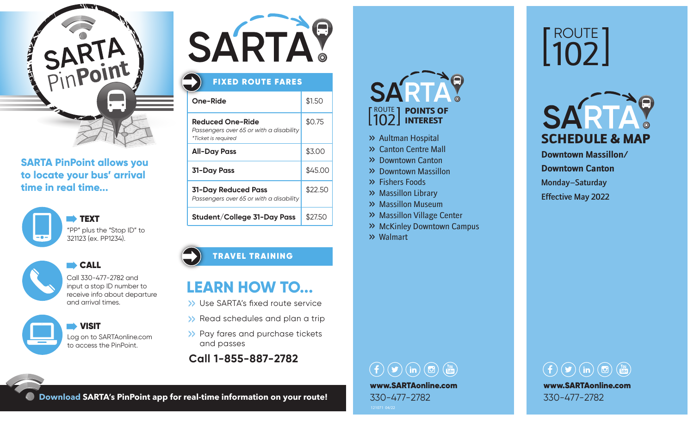

#### **SARTA PinPoint allows you to locate your bus' arrival time in real time...**





#### **CALL** Call 330-477-2782 and

input a stop ID number to receive info about departure and arrival times.

 VISIT Log on to SARTAonline.com to access the PinPoint.



### FIXED ROUTE FARES

| One-Ride                                                                           | \$1.50  |
|------------------------------------------------------------------------------------|---------|
| Reduced One-Ride<br>Passengers over 65 or with a disability<br>*Ticket is required | \$0.75  |
| <b>All-Day Pass</b>                                                                | \$3.00  |
| <b>31-Day Pass</b>                                                                 | \$45.00 |
| 31-Day Reduced Pass<br>Passengers over 65 or with a disability                     | \$22.50 |
| Student/College 31-Day Pass                                                        | \$27.50 |

#### TRAVEL TRAINING

### **LEARN HOW TO...**

- >> Use SARTA's fixed route service
- >> Read schedules and plan a trip
- >> Pay fares and purchase tickets and passes
- **Call 1-855-887-2782**

## ROUTE 1 102 INTEREST POINTS OF

- >> Aultman Hospital
- >> Canton Centre Mall
- >> Downtown Canton
- >> Downtown Massillon
- >> Fishers Foods
- >> Massillon Library
- >> Massillon Museum
- >> Massillon Village Center
- >> McKinley Downtown Campus
- >> Walmart

### $\textcircled{\fbox{f}}\textcircled{\fbox{f}}\textcircled{\fbox{f}}\textcircled{\fbox{f}}\textcircled{\fbox{f}}\textcircled{\fbox{f}}\textcircled{\fbox{f}}\textcircled{\fbox{f}}\textcircled{\fbox{f}}\textcircled{\fbox{f}}\textcircled{\fbox{f}}\textcircled{\fbox{f}}\textcircled{\fbox{f}}\textcircled{\fbox{f}}\textcircled{\fbox{f}}\textcircled{\fbox{f}}\textcircled{\fbox{f}}\textcircled{\fbox{f}}\textcircled{\fbox{f}}\textcircled{\fbox{f}}\textcircled{\fbox{f}}\textcircled{\fbox{f}}$ www.SARTAonline.com 330-477-2782

# ROUTE 102



**Downtown Massillon/ Downtown Canton** Monday–Saturday Effective May 2022



**Download SARTA's PinPoint app for real-time information on your route!**